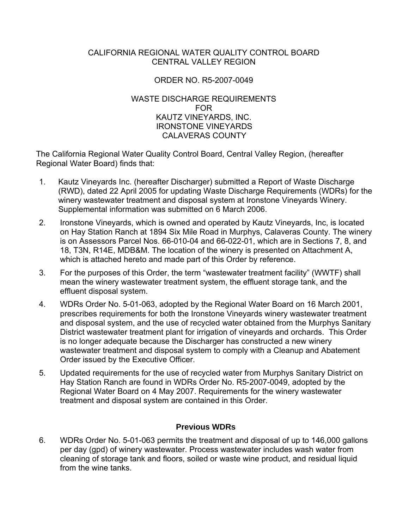#### CALIFORNIA REGIONAL WATER QUALITY CONTROL BOARD CENTRAL VALLEY REGION

#### ORDER NO. R5-2007-0049

#### WASTE DISCHARGE REQUIREMENTS FOR KAUTZ VINEYARDS, INC. IRONSTONE VINEYARDS CALAVERAS COUNTY

The California Regional Water Quality Control Board, Central Valley Region, (hereafter Regional Water Board) finds that:

- 1. Kautz Vineyards Inc. (hereafter Discharger) submitted a Report of Waste Discharge (RWD), dated 22 April 2005 for updating Waste Discharge Requirements (WDRs) for the winery wastewater treatment and disposal system at Ironstone Vineyards Winery. Supplemental information was submitted on 6 March 2006.
- 2. Ironstone Vineyards, which is owned and operated by Kautz Vineyards, Inc, is located on Hay Station Ranch at 1894 Six Mile Road in Murphys, Calaveras County. The winery is on Assessors Parcel Nos. 66-010-04 and 66-022-01, which are in Sections 7, 8, and 18, T3N, R14E, MDB&M. The location of the winery is presented on Attachment A, which is attached hereto and made part of this Order by reference.
- 3. For the purposes of this Order, the term "wastewater treatment facility" (WWTF) shall mean the winery wastewater treatment system, the effluent storage tank, and the effluent disposal system.
- 4. WDRs Order No. 5-01-063, adopted by the Regional Water Board on 16 March 2001, prescribes requirements for both the Ironstone Vineyards winery wastewater treatment and disposal system, and the use of recycled water obtained from the Murphys Sanitary District wastewater treatment plant for irrigation of vineyards and orchards. This Order is no longer adequate because the Discharger has constructed a new winery wastewater treatment and disposal system to comply with a Cleanup and Abatement Order issued by the Executive Officer.
- 5. Updated requirements for the use of recycled water from Murphys Sanitary District on Hay Station Ranch are found in WDRs Order No. R5-2007-0049, adopted by the Regional Water Board on 4 May 2007. Requirements for the winery wastewater treatment and disposal system are contained in this Order.

# **Previous WDRs**

6. WDRs Order No. 5-01-063 permits the treatment and disposal of up to 146,000 gallons per day (gpd) of winery wastewater. Process wastewater includes wash water from cleaning of storage tank and floors, soiled or waste wine product, and residual liquid from the wine tanks.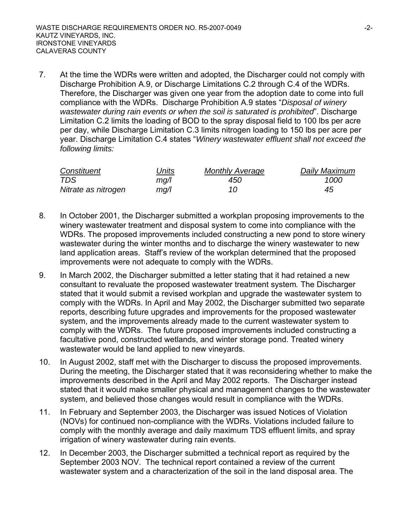7. At the time the WDRs were written and adopted, the Discharger could not comply with Discharge Prohibition A.9, or Discharge Limitations C.2 through C.4 of the WDRs. Therefore, the Discharger was given one year from the adoption date to come into full compliance with the WDRs. Discharge Prohibition A.9 states "*Disposal of winery wastewater during rain events or when the soil is saturated is prohibited*". Discharge Limitation C.2 limits the loading of BOD to the spray disposal field to 100 lbs per acre per day, while Discharge Limitation C.3 limits nitrogen loading to 150 lbs per acre per year. Discharge Limitation C.4 states "*Winery wastewater effluent shall not exceed the following limits:*

| Constituent         | Jnits | <b>Monthly Average</b> | Daily Maximum |
|---------------------|-------|------------------------|---------------|
| TDS                 | mq/l  | 450                    | 1000          |
| Nitrate as nitrogen | mg/l  |                        | 45            |

- 8. In October 2001, the Discharger submitted a workplan proposing improvements to the winery wastewater treatment and disposal system to come into compliance with the WDRs. The proposed improvements included constructing a new pond to store winery wastewater during the winter months and to discharge the winery wastewater to new land application areas. Staff's review of the workplan determined that the proposed improvements were not adequate to comply with the WDRs.
- 9. In March 2002, the Discharger submitted a letter stating that it had retained a new consultant to revaluate the proposed wastewater treatment system*.* The Discharger stated that it would submit a revised workplan and upgrade the wastewater system to comply with the WDRs. In April and May 2002, the Discharger submitted two separate reports, describing future upgrades and improvements for the proposed wastewater system, and the improvements already made to the current wastewater system to comply with the WDRs. The future proposed improvements included constructing a facultative pond, constructed wetlands, and winter storage pond. Treated winery wastewater would be land applied to new vineyards.
- 10. In August 2002, staff met with the Discharger to discuss the proposed improvements. During the meeting, the Discharger stated that it was reconsidering whether to make the improvements described in the April and May 2002 reports. The Discharger instead stated that it would make smaller physical and management changes to the wastewater system, and believed those changes would result in compliance with the WDRs.
- 11. In February and September 2003, the Discharger was issued Notices of Violation (NOVs) for continued non-compliance with the WDRs. Violations included failure to comply with the monthly average and daily maximum TDS effluent limits, and spray irrigation of winery wastewater during rain events.
- 12. In December 2003, the Discharger submitted a technical report as required by the September 2003 NOV. The technical report contained a review of the current wastewater system and a characterization of the soil in the land disposal area. The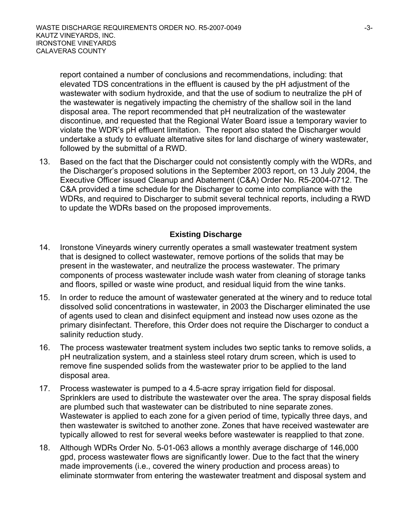report contained a number of conclusions and recommendations, including: that elevated TDS concentrations in the effluent is caused by the pH adjustment of the wastewater with sodium hydroxide, and that the use of sodium to neutralize the pH of the wastewater is negatively impacting the chemistry of the shallow soil in the land disposal area. The report recommended that pH neutralization of the wastewater discontinue, and requested that the Regional Water Board issue a temporary wavier to violate the WDR's pH effluent limitation. The report also stated the Discharger would undertake a study to evaluate alternative sites for land discharge of winery wastewater, followed by the submittal of a RWD.

13. Based on the fact that the Discharger could not consistently comply with the WDRs, and the Discharger's proposed solutions in the September 2003 report, on 13 July 2004, the Executive Officer issued Cleanup and Abatement (C&A) Order No. R5-2004-0712. The C&A provided a time schedule for the Discharger to come into compliance with the WDRs, and required to Discharger to submit several technical reports, including a RWD to update the WDRs based on the proposed improvements.

# **Existing Discharge**

- 14. Ironstone Vineyards winery currently operates a small wastewater treatment system that is designed to collect wastewater, remove portions of the solids that may be present in the wastewater, and neutralize the process wastewater. The primary components of process wastewater include wash water from cleaning of storage tanks and floors, spilled or waste wine product, and residual liquid from the wine tanks.
- 15. In order to reduce the amount of wastewater generated at the winery and to reduce total dissolved solid concentrations in wastewater, in 2003 the Discharger eliminated the use of agents used to clean and disinfect equipment and instead now uses ozone as the primary disinfectant. Therefore, this Order does not require the Discharger to conduct a salinity reduction study.
- 16. The process wastewater treatment system includes two septic tanks to remove solids, a pH neutralization system, and a stainless steel rotary drum screen, which is used to remove fine suspended solids from the wastewater prior to be applied to the land disposal area.
- 17. Process wastewater is pumped to a 4.5-acre spray irrigation field for disposal. Sprinklers are used to distribute the wastewater over the area. The spray disposal fields are plumbed such that wastewater can be distributed to nine separate zones. Wastewater is applied to each zone for a given period of time, typically three days, and then wastewater is switched to another zone. Zones that have received wastewater are typically allowed to rest for several weeks before wastewater is reapplied to that zone.
- 18. Although WDRs Order No. 5-01-063 allows a monthly average discharge of 146,000 gpd, process wastewater flows are significantly lower. Due to the fact that the winery made improvements (i.e., covered the winery production and process areas) to eliminate stormwater from entering the wastewater treatment and disposal system and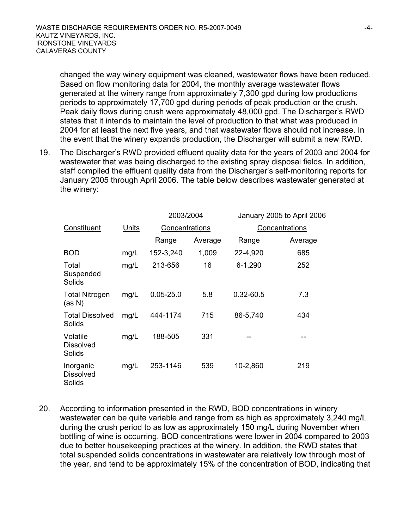changed the way winery equipment was cleaned, wastewater flows have been reduced. Based on flow monitoring data for 2004, the monthly average wastewater flows generated at the winery range from approximately 7,300 gpd during low productions periods to approximately 17,700 gpd during periods of peak production or the crush. Peak daily flows during crush were approximately 48,000 gpd. The Discharger's RWD states that it intends to maintain the level of production to that what was produced in 2004 for at least the next five years, and that wastewater flows should not increase. In the event that the winery expands production, the Discharger will submit a new RWD.

19. The Discharger's RWD provided effluent quality data for the years of 2003 and 2004 for wastewater that was being discharged to the existing spray disposal fields. In addition, staff compiled the effluent quality data from the Discharger's self-monitoring reports for January 2005 through April 2006. The table below describes wastewater generated at the winery:

|                                         |       | 2003/2004      |                | January 2005 to April 2006 |         |
|-----------------------------------------|-------|----------------|----------------|----------------------------|---------|
| Constituent                             | Units | Concentrations |                | Concentrations             |         |
|                                         |       | Range          | <b>Average</b> | <u>Range</u>               | Average |
| <b>BOD</b>                              | mg/L  | 152-3,240      | 1,009          | 22-4,920                   | 685     |
| Total<br>Suspended<br>Solids            | mg/L  | 213-656        | 16             | $6 - 1,290$                | 252     |
| <b>Total Nitrogen</b><br>(as N)         | mg/L  | $0.05 - 25.0$  | 5.8            | $0.32 - 60.5$              | 7.3     |
| <b>Total Dissolved</b><br>Solids        | mg/L  | 444-1174       | 715            | 86-5,740                   | 434     |
| Volatile<br><b>Dissolved</b><br>Solids  | mg/L  | 188-505        | 331            |                            | --      |
| Inorganic<br><b>Dissolved</b><br>Solids | mg/L  | 253-1146       | 539            | 10-2,860                   | 219     |

20. According to information presented in the RWD, BOD concentrations in winery wastewater can be quite variable and range from as high as approximately 3,240 mg/L during the crush period to as low as approximately 150 mg/L during November when bottling of wine is occurring. BOD concentrations were lower in 2004 compared to 2003 due to better housekeeping practices at the winery. In addition, the RWD states that total suspended solids concentrations in wastewater are relatively low through most of the year, and tend to be approximately 15% of the concentration of BOD, indicating that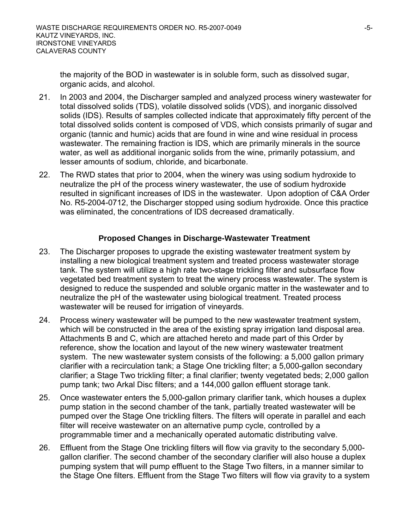the majority of the BOD in wastewater is in soluble form, such as dissolved sugar, organic acids, and alcohol.

- 21. In 2003 and 2004, the Discharger sampled and analyzed process winery wastewater for total dissolved solids (TDS), volatile dissolved solids (VDS), and inorganic dissolved solids (IDS). Results of samples collected indicate that approximately fifty percent of the total dissolved solids content is composed of VDS, which consists primarily of sugar and organic (tannic and humic) acids that are found in wine and wine residual in process wastewater. The remaining fraction is IDS, which are primarily minerals in the source water, as well as additional inorganic solids from the wine, primarily potassium, and lesser amounts of sodium, chloride, and bicarbonate.
- 22. The RWD states that prior to 2004, when the winery was using sodium hydroxide to neutralize the pH of the process winery wastewater, the use of sodium hydroxide resulted in significant increases of IDS in the wastewater. Upon adoption of C&A Order No. R5-2004-0712, the Discharger stopped using sodium hydroxide. Once this practice was eliminated, the concentrations of IDS decreased dramatically.

#### **Proposed Changes in Discharge-Wastewater Treatment**

- 23. The Discharger proposes to upgrade the existing wastewater treatment system by installing a new biological treatment system and treated process wastewater storage tank. The system will utilize a high rate two-stage trickling filter and subsurface flow vegetated bed treatment system to treat the winery process wastewater. The system is designed to reduce the suspended and soluble organic matter in the wastewater and to neutralize the pH of the wastewater using biological treatment. Treated process wastewater will be reused for irrigation of vineyards.
- 24. Process winery wastewater will be pumped to the new wastewater treatment system, which will be constructed in the area of the existing spray irrigation land disposal area. Attachments B and C, which are attached hereto and made part of this Order by reference, show the location and layout of the new winery wastewater treatment system. The new wastewater system consists of the following: a 5,000 gallon primary clarifier with a recirculation tank; a Stage One trickling filter; a 5,000-gallon secondary clarifier; a Stage Two trickling filter; a final clarifier; twenty vegetated beds; 2,000 gallon pump tank; two Arkal Disc filters; and a 144,000 gallon effluent storage tank.
- 25. Once wastewater enters the 5,000-gallon primary clarifier tank, which houses a duplex pump station in the second chamber of the tank, partially treated wastewater will be pumped over the Stage One trickling filters. The filters will operate in parallel and each filter will receive wastewater on an alternative pump cycle, controlled by a programmable timer and a mechanically operated automatic distributing valve.
- 26. Effluent from the Stage One trickling filters will flow via gravity to the secondary 5,000 gallon clarifier. The second chamber of the secondary clarifier will also house a duplex pumping system that will pump effluent to the Stage Two filters, in a manner similar to the Stage One filters. Effluent from the Stage Two filters will flow via gravity to a system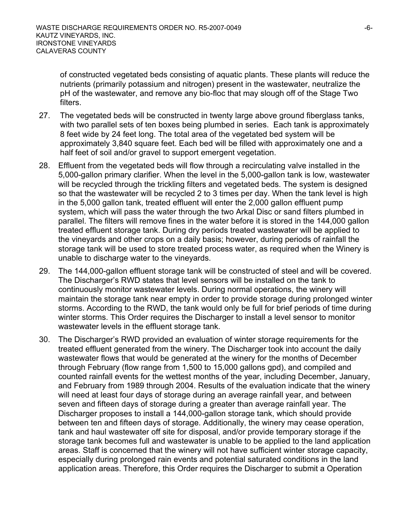of constructed vegetated beds consisting of aquatic plants. These plants will reduce the nutrients (primarily potassium and nitrogen) present in the wastewater, neutralize the pH of the wastewater, and remove any bio-floc that may slough off of the Stage Two filters.

- 27. The vegetated beds will be constructed in twenty large above ground fiberglass tanks, with two parallel sets of ten boxes being plumbed in series. Each tank is approximately 8 feet wide by 24 feet long. The total area of the vegetated bed system will be approximately 3,840 square feet. Each bed will be filled with approximately one and a half feet of soil and/or gravel to support emergent vegetation.
- 28. Effluent from the vegetated beds will flow through a recirculating valve installed in the 5,000-gallon primary clarifier. When the level in the 5,000-gallon tank is low, wastewater will be recycled through the trickling filters and vegetated beds. The system is designed so that the wastewater will be recycled 2 to 3 times per day. When the tank level is high in the 5,000 gallon tank, treated effluent will enter the 2,000 gallon effluent pump system, which will pass the water through the two Arkal Disc or sand filters plumbed in parallel. The filters will remove fines in the water before it is stored in the 144,000 gallon treated effluent storage tank. During dry periods treated wastewater will be applied to the vineyards and other crops on a daily basis; however, during periods of rainfall the storage tank will be used to store treated process water, as required when the Winery is unable to discharge water to the vineyards.
- 29. The 144,000-gallon effluent storage tank will be constructed of steel and will be covered. The Discharger's RWD states that level sensors will be installed on the tank to continuously monitor wastewater levels. During normal operations, the winery will maintain the storage tank near empty in order to provide storage during prolonged winter storms. According to the RWD, the tank would only be full for brief periods of time during winter storms. This Order requires the Discharger to install a level sensor to monitor wastewater levels in the effluent storage tank.
- 30. The Discharger's RWD provided an evaluation of winter storage requirements for the treated effluent generated from the winery. The Discharger took into account the daily wastewater flows that would be generated at the winery for the months of December through February (flow range from 1,500 to 15,000 gallons gpd), and compiled and counted rainfall events for the wettest months of the year, including December, January, and February from 1989 through 2004. Results of the evaluation indicate that the winery will need at least four days of storage during an average rainfall year, and between seven and fifteen days of storage during a greater than average rainfall year. The Discharger proposes to install a 144,000-gallon storage tank, which should provide between ten and fifteen days of storage. Additionally, the winery may cease operation, tank and haul wastewater off site for disposal, and/or provide temporary storage if the storage tank becomes full and wastewater is unable to be applied to the land application areas. Staff is concerned that the winery will not have sufficient winter storage capacity, especially during prolonged rain events and potential saturated conditions in the land application areas. Therefore, this Order requires the Discharger to submit a Operation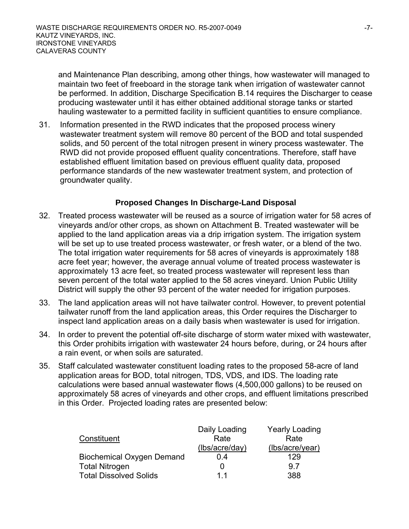and Maintenance Plan describing, among other things, how wastewater will managed to maintain two feet of freeboard in the storage tank when irrigation of wastewater cannot be performed. In addition, Discharge Specification B.14 requires the Discharger to cease producing wastewater until it has either obtained additional storage tanks or started hauling wastewater to a permitted facility in sufficient quantities to ensure compliance.

31. Information presented in the RWD indicates that the proposed process winery wastewater treatment system will remove 80 percent of the BOD and total suspended solids, and 50 percent of the total nitrogen present in winery process wastewater. The RWD did not provide proposed effluent quality concentrations. Therefore, staff have established effluent limitation based on previous effluent quality data, proposed performance standards of the new wastewater treatment system, and protection of groundwater quality.

### **Proposed Changes In Discharge-Land Disposal**

- 32. Treated process wastewater will be reused as a source of irrigation water for 58 acres of vineyards and/or other crops, as shown on Attachment B. Treated wastewater will be applied to the land application areas via a drip irrigation system. The irrigation system will be set up to use treated process wastewater, or fresh water, or a blend of the two. The total irrigation water requirements for 58 acres of vineyards is approximately 188 acre feet year; however, the average annual volume of treated process wastewater is approximately 13 acre feet, so treated process wastewater will represent less than seven percent of the total water applied to the 58 acres vineyard. Union Public Utility District will supply the other 93 percent of the water needed for irrigation purposes.
- 33. The land application areas will not have tailwater control. However, to prevent potential tailwater runoff from the land application areas, this Order requires the Discharger to inspect land application areas on a daily basis when wastewater is used for irrigation.
- 34. In order to prevent the potential off-site discharge of storm water mixed with wastewater, this Order prohibits irrigation with wastewater 24 hours before, during, or 24 hours after a rain event, or when soils are saturated.
- 35. Staff calculated wastewater constituent loading rates to the proposed 58-acre of land application areas for BOD, total nitrogen, TDS, VDS, and IDS. The loading rate calculations were based annual wastewater flows (4,500,000 gallons) to be reused on approximately 58 acres of vineyards and other crops, and effluent limitations prescribed in this Order. Projected loading rates are presented below:

|                                  | Daily Loading  | <b>Yearly Loading</b> |
|----------------------------------|----------------|-----------------------|
| Constituent                      | Rate           | Rate                  |
|                                  | (lbs/acre/day) | (lbs/acre/year)       |
| <b>Biochemical Oxygen Demand</b> | 0.4            | 129                   |
| <b>Total Nitrogen</b>            |                | 9.7                   |
| <b>Total Dissolved Solids</b>    | 11             | 388                   |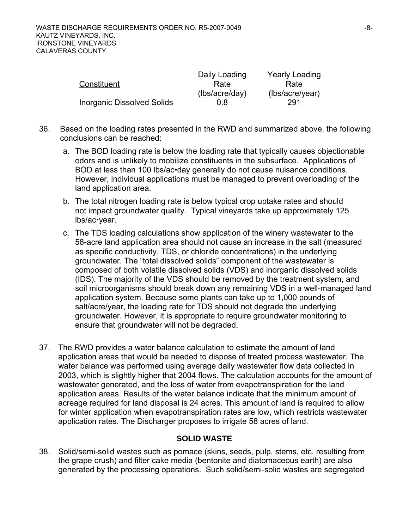|                                   | Daily Loading  | <b>Yearly Loading</b> |
|-----------------------------------|----------------|-----------------------|
| Constituent                       | Rate           | Rate                  |
|                                   | (lbs/acre/day) | (lbs/acre/year)       |
| <b>Inorganic Dissolved Solids</b> | 0 8            | 291                   |

- 36. Based on the loading rates presented in the RWD and summarized above, the following conclusions can be reached:
	- a. The BOD loading rate is below the loading rate that typically causes objectionable odors and is unlikely to mobilize constituents in the subsurface. Applications of BOD at less than 100 lbs/ac•day generally do not cause nuisance conditions. However, individual applications must be managed to prevent overloading of the land application area.
	- b. The total nitrogen loading rate is below typical crop uptake rates and should not impact groundwater quality. Typical vineyards take up approximately 125 lbs/ac·vear.
	- c. The TDS loading calculations show application of the winery wastewater to the 58-acre land application area should not cause an increase in the salt (measured as specific conductivity, TDS, or chloride concentrations) in the underlying groundwater. The "total dissolved solids" component of the wastewater is composed of both volatile dissolved solids (VDS) and inorganic dissolved solids (IDS). The majority of the VDS should be removed by the treatment system, and soil microorganisms should break down any remaining VDS in a well-managed land application system. Because some plants can take up to 1,000 pounds of salt/acre/year, the loading rate for TDS should not degrade the underlying groundwater. However, it is appropriate to require groundwater monitoring to ensure that groundwater will not be degraded.
- 37. The RWD provides a water balance calculation to estimate the amount of land application areas that would be needed to dispose of treated process wastewater. The water balance was performed using average daily wastewater flow data collected in 2003, which is slightly higher that 2004 flows. The calculation accounts for the amount of wastewater generated, and the loss of water from evapotranspiration for the land application areas. Results of the water balance indicate that the minimum amount of acreage required for land disposal is 24 acres. This amount of land is required to allow for winter application when evapotranspiration rates are low, which restricts wastewater application rates. The Discharger proposes to irrigate 58 acres of land.

#### **SOLID WASTE**

38. Solid/semi-solid wastes such as pomace (skins, seeds, pulp, stems, etc. resulting from the grape crush) and filter cake media (bentonite and diatomaceous earth) are also generated by the processing operations. Such solid/semi-solid wastes are segregated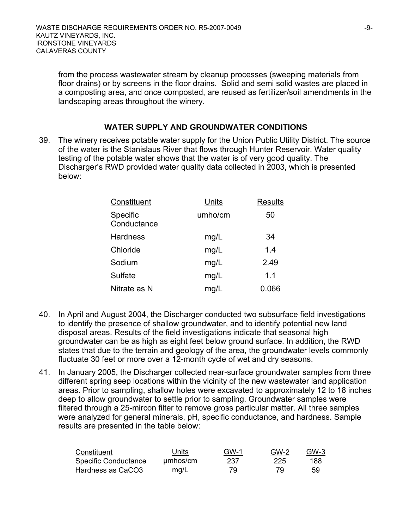from the process wastewater stream by cleanup processes (sweeping materials from floor drains) or by screens in the floor drains. Solid and semi solid wastes are placed in a composting area, and once composted, are reused as fertilizer/soil amendments in the landscaping areas throughout the winery.

#### **WATER SUPPLY AND GROUNDWATER CONDITIONS**

39. The winery receives potable water supply for the Union Public Utility District. The source of the water is the Stanislaus River that flows through Hunter Reservoir. Water quality testing of the potable water shows that the water is of very good quality. The Discharger's RWD provided water quality data collected in 2003, which is presented below:

| Constituent             | Units   | <b>Results</b> |
|-------------------------|---------|----------------|
| Specific<br>Conductance | umho/cm | 50             |
| <b>Hardness</b>         | mg/L    | 34             |
| Chloride                | mg/L    | 1.4            |
| Sodium                  | mg/L    | 2.49           |
| Sulfate                 | mg/L    | 1.1            |
| Nitrate as N            | mq/L    | 0.066          |

- 40. In April and August 2004, the Discharger conducted two subsurface field investigations to identify the presence of shallow groundwater, and to identify potential new land disposal areas. Results of the field investigations indicate that seasonal high groundwater can be as high as eight feet below ground surface. In addition, the RWD states that due to the terrain and geology of the area, the groundwater levels commonly fluctuate 30 feet or more over a 12-month cycle of wet and dry seasons.
- 41. In January 2005, the Discharger collected near-surface groundwater samples from three different spring seep locations within the vicinity of the new wastewater land application areas. Prior to sampling, shallow holes were excavated to approximately 12 to 18 inches deep to allow groundwater to settle prior to sampling. Groundwater samples were filtered through a 25-mircon filter to remove gross particular matter. All three samples were analyzed for general minerals, pH, specific conductance, and hardness. Sample results are presented in the table below:

| Constituent          | Units    | <b>GW-1</b> | GW-2 | GW-3 |
|----------------------|----------|-------------|------|------|
| Specific Conductance | umhos/cm | 237         | 225  | 188  |
| Hardness as CaCO3    | mq/L     | 79          | 79   | 59   |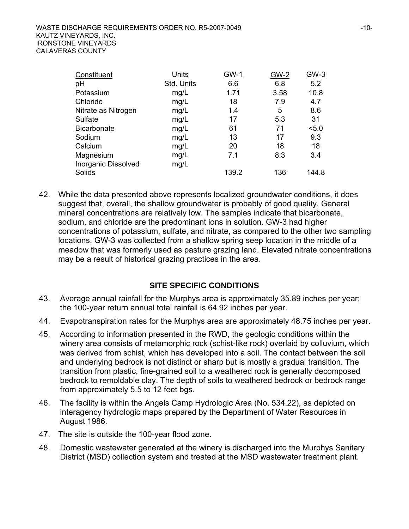| Constituent         | Units      | <b>GW-1</b> | <b>GW-2</b> | $GW-3$ |
|---------------------|------------|-------------|-------------|--------|
| pH                  | Std. Units | 6.6         | 6.8         | 5.2    |
| Potassium           | mg/L       | 1.71        | 3.58        | 10.8   |
| Chloride            | mg/L       | 18          | 7.9         | 4.7    |
| Nitrate as Nitrogen | mg/L       | 1.4         | 5           | 8.6    |
| Sulfate             | mg/L       | 17          | 5.3         | 31     |
| <b>Bicarbonate</b>  | mg/L       | 61          | 71          | 5.0    |
| Sodium              | mg/L       | 13          | 17          | 9.3    |
| Calcium             | mg/L       | 20          | 18          | 18     |
| Magnesium           | mg/L       | 7.1         | 8.3         | 3.4    |
| Inorganic Dissolved | mg/L       |             |             |        |
| Solids              |            | 139.2       | 136         | 144.8  |

42. While the data presented above represents localized groundwater conditions, it does suggest that, overall, the shallow groundwater is probably of good quality. General mineral concentrations are relatively low. The samples indicate that bicarbonate, sodium, and chloride are the predominant ions in solution. GW-3 had higher concentrations of potassium, sulfate, and nitrate, as compared to the other two sampling locations. GW-3 was collected from a shallow spring seep location in the middle of a meadow that was formerly used as pasture grazing land. Elevated nitrate concentrations may be a result of historical grazing practices in the area.

#### **SITE SPECIFIC CONDITIONS**

- 43. Average annual rainfall for the Murphys area is approximately 35.89 inches per year; the 100-year return annual total rainfall is 64.92 inches per year.
- 44. Evapotranspiration rates for the Murphys area are approximately 48.75 inches per year.
- 45. According to information presented in the RWD, the geologic conditions within the winery area consists of metamorphic rock (schist-like rock) overlaid by colluvium, which was derived from schist, which has developed into a soil. The contact between the soil and underlying bedrock is not distinct or sharp but is mostly a gradual transition. The transition from plastic, fine-grained soil to a weathered rock is generally decomposed bedrock to remoldable clay. The depth of soils to weathered bedrock or bedrock range from approximately 5.5 to 12 feet bgs.
- 46. The facility is within the Angels Camp Hydrologic Area (No. 534.22), as depicted on interagency hydrologic maps prepared by the Department of Water Resources in August 1986.
- 47. The site is outside the 100-year flood zone.
- 48. Domestic wastewater generated at the winery is discharged into the Murphys Sanitary District (MSD) collection system and treated at the MSD wastewater treatment plant.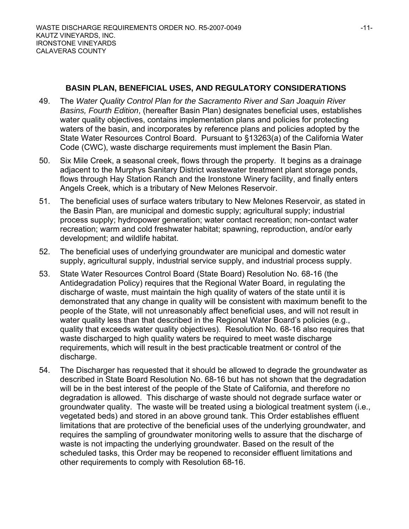#### **BASIN PLAN, BENEFICIAL USES, AND REGULATORY CONSIDERATIONS**

- 49. The *Water Quality Control Plan for the Sacramento River and San Joaquin River Basins, Fourth Edition*, (hereafter Basin Plan) designates beneficial uses, establishes water quality objectives, contains implementation plans and policies for protecting waters of the basin, and incorporates by reference plans and policies adopted by the State Water Resources Control Board. Pursuant to §13263(a) of the California Water Code (CWC), waste discharge requirements must implement the Basin Plan.
- 50. Six Mile Creek, a seasonal creek, flows through the property. It begins as a drainage adjacent to the Murphys Sanitary District wastewater treatment plant storage ponds, flows through Hay Station Ranch and the Ironstone Winery facility, and finally enters Angels Creek, which is a tributary of New Melones Reservoir.
- 51. The beneficial uses of surface waters tributary to New Melones Reservoir, as stated in the Basin Plan, are municipal and domestic supply; agricultural supply; industrial process supply; hydropower generation; water contact recreation; non-contact water recreation; warm and cold freshwater habitat; spawning, reproduction, and/or early development; and wildlife habitat.
- 52. The beneficial uses of underlying groundwater are municipal and domestic water supply, agricultural supply, industrial service supply, and industrial process supply.
- 53. State Water Resources Control Board (State Board) Resolution No. 68-16 (the Antidegradation Policy) requires that the Regional Water Board, in regulating the discharge of waste, must maintain the high quality of waters of the state until it is demonstrated that any change in quality will be consistent with maximum benefit to the people of the State, will not unreasonably affect beneficial uses, and will not result in water quality less than that described in the Regional Water Board's policies (e.g., quality that exceeds water quality objectives). Resolution No. 68-16 also requires that waste discharged to high quality waters be required to meet waste discharge requirements, which will result in the best practicable treatment or control of the discharge.
- 54. The Discharger has requested that it should be allowed to degrade the groundwater as described in State Board Resolution No. 68-16 but has not shown that the degradation will be in the best interest of the people of the State of California, and therefore no degradation is allowed. This discharge of waste should not degrade surface water or groundwater quality. The waste will be treated using a biological treatment system (i.e., vegetated beds) and stored in an above ground tank. This Order establishes effluent limitations that are protective of the beneficial uses of the underlying groundwater, and requires the sampling of groundwater monitoring wells to assure that the discharge of waste is not impacting the underlying groundwater. Based on the result of the scheduled tasks, this Order may be reopened to reconsider effluent limitations and other requirements to comply with Resolution 68-16.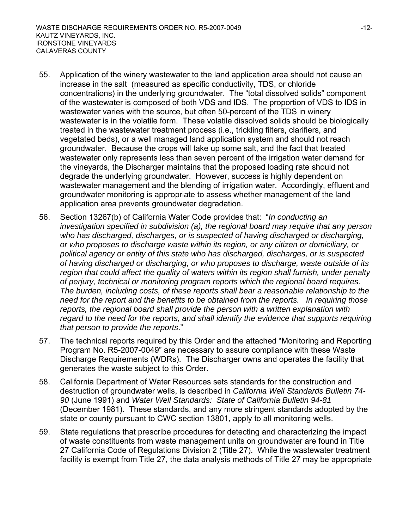- 55. Application of the winery wastewater to the land application area should not cause an increase in the salt (measured as specific conductivity, TDS, or chloride concentrations) in the underlying groundwater. The "total dissolved solids" component of the wastewater is composed of both VDS and IDS. The proportion of VDS to IDS in wastewater varies with the source, but often 50-percent of the TDS in winery wastewater is in the volatile form. These volatile dissolved solids should be biologically treated in the wastewater treatment process (i.e., trickling filters, clarifiers, and vegetated beds), or a well managed land application system and should not reach groundwater. Because the crops will take up some salt, and the fact that treated wastewater only represents less than seven percent of the irrigation water demand for the vineyards, the Discharger maintains that the proposed loading rate should not degrade the underlying groundwater. However, success is highly dependent on wastewater management and the blending of irrigation water. Accordingly, effluent and groundwater monitoring is appropriate to assess whether management of the land application area prevents groundwater degradation.
- 56. Section 13267(b) of California Water Code provides that: "*In conducting an investigation specified in subdivision (a), the regional board may require that any person who has discharged, discharges, or is suspected of having discharged or discharging, or who proposes to discharge waste within its region, or any citizen or domiciliary, or political agency or entity of this state who has discharged, discharges, or is suspected of having discharged or discharging, or who proposes to discharge, waste outside of its region that could affect the quality of waters within its region shall furnish, under penalty of perjury, technical or monitoring program reports which the regional board requires. The burden, including costs, of these reports shall bear a reasonable relationship to the need for the report and the benefits to be obtained from the reports. In requiring those reports, the regional board shall provide the person with a written explanation with*  regard to the need for the reports, and shall identify the evidence that supports requiring *that person to provide the reports*."
- 57. The technical reports required by this Order and the attached "Monitoring and Reporting Program No. R5-2007-0049" are necessary to assure compliance with these Waste Discharge Requirements (WDRs). The Discharger owns and operates the facility that generates the waste subject to this Order.
- 58. California Department of Water Resources sets standards for the construction and destruction of groundwater wells, is described in *California Well Standards Bulletin 74- 90* (June 1991) and *Water Well Standards: State of California Bulletin 94-81* (December 1981). These standards, and any more stringent standards adopted by the state or county pursuant to CWC section 13801, apply to all monitoring wells.
- 59. State regulations that prescribe procedures for detecting and characterizing the impact of waste constituents from waste management units on groundwater are found in Title 27 California Code of Regulations Division 2 (Title 27). While the wastewater treatment facility is exempt from Title 27, the data analysis methods of Title 27 may be appropriate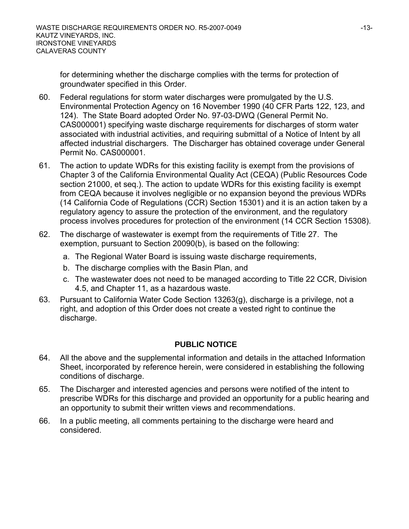for determining whether the discharge complies with the terms for protection of groundwater specified in this Order.

- 60. Federal regulations for storm water discharges were promulgated by the U.S. Environmental Protection Agency on 16 November 1990 (40 CFR Parts 122, 123, and 124). The State Board adopted Order No. 97-03-DWQ (General Permit No. CAS000001) specifying waste discharge requirements for discharges of storm water associated with industrial activities, and requiring submittal of a Notice of Intent by all affected industrial dischargers. The Discharger has obtained coverage under General Permit No. CAS000001.
- 61. The action to update WDRs for this existing facility is exempt from the provisions of Chapter 3 of the California Environmental Quality Act (CEQA) (Public Resources Code section 21000, et seq.). The action to update WDRs for this existing facility is exempt from CEQA because it involves negligible or no expansion beyond the previous WDRs (14 California Code of Regulations (CCR) Section 15301) and it is an action taken by a regulatory agency to assure the protection of the environment, and the regulatory process involves procedures for protection of the environment (14 CCR Section 15308).
- 62. The discharge of wastewater is exempt from the requirements of Title 27. The exemption, pursuant to Section 20090(b), is based on the following:
	- a. The Regional Water Board is issuing waste discharge requirements,
	- b. The discharge complies with the Basin Plan, and
	- c. The wastewater does not need to be managed according to Title 22 CCR, Division 4.5, and Chapter 11, as a hazardous waste.
- 63. Pursuant to California Water Code Section 13263(g), discharge is a privilege, not a right, and adoption of this Order does not create a vested right to continue the discharge.

# **PUBLIC NOTICE**

- 64. All the above and the supplemental information and details in the attached Information Sheet, incorporated by reference herein, were considered in establishing the following conditions of discharge.
- 65. The Discharger and interested agencies and persons were notified of the intent to prescribe WDRs for this discharge and provided an opportunity for a public hearing and an opportunity to submit their written views and recommendations.
- 66. In a public meeting, all comments pertaining to the discharge were heard and considered.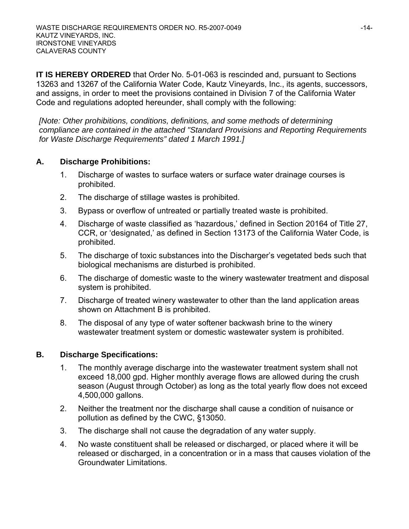**IT IS HEREBY ORDERED** that Order No. 5-01-063 is rescinded and, pursuant to Sections 13263 and 13267 of the California Water Code, Kautz Vineyards, Inc., its agents, successors, and assigns, in order to meet the provisions contained in Division 7 of the California Water Code and regulations adopted hereunder, shall comply with the following:

*[Note: Other prohibitions, conditions, definitions, and some methods of determining compliance are contained in the attached "Standard Provisions and Reporting Requirements for Waste Discharge Requirements" dated 1 March 1991.]* 

### **A. Discharge Prohibitions:**

- 1. Discharge of wastes to surface waters or surface water drainage courses is prohibited.
- 2. The discharge of stillage wastes is prohibited.
- 3. Bypass or overflow of untreated or partially treated waste is prohibited.
- 4. Discharge of waste classified as 'hazardous,' defined in Section 20164 of Title 27, CCR, or 'designated,' as defined in Section 13173 of the California Water Code, is prohibited.
- 5. The discharge of toxic substances into the Discharger's vegetated beds such that biological mechanisms are disturbed is prohibited.
- 6. The discharge of domestic waste to the winery wastewater treatment and disposal system is prohibited.
- 7. Discharge of treated winery wastewater to other than the land application areas shown on Attachment B is prohibited.
- 8. The disposal of any type of water softener backwash brine to the winery wastewater treatment system or domestic wastewater system is prohibited.

# **B. Discharge Specifications:**

- 1. The monthly average discharge into the wastewater treatment system shall not exceed 18,000 gpd. Higher monthly average flows are allowed during the crush season (August through October) as long as the total yearly flow does not exceed 4,500,000 gallons.
- 2. Neither the treatment nor the discharge shall cause a condition of nuisance or pollution as defined by the CWC, §13050.
- 3. The discharge shall not cause the degradation of any water supply.
- 4. No waste constituent shall be released or discharged, or placed where it will be released or discharged, in a concentration or in a mass that causes violation of the Groundwater Limitations.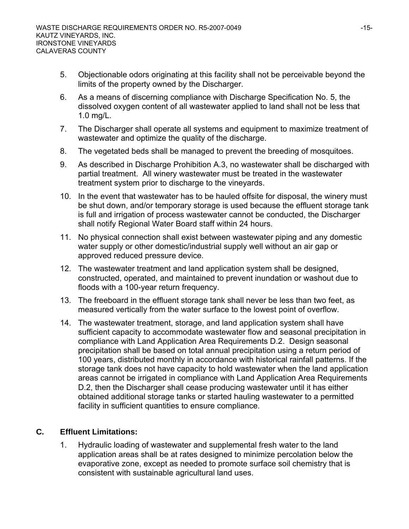- 5. Objectionable odors originating at this facility shall not be perceivable beyond the limits of the property owned by the Discharger.
- 6. As a means of discerning compliance with Discharge Specification No. 5, the dissolved oxygen content of all wastewater applied to land shall not be less that 1.0 mg/L.
- 7. The Discharger shall operate all systems and equipment to maximize treatment of wastewater and optimize the quality of the discharge.
- 8. The vegetated beds shall be managed to prevent the breeding of mosquitoes.
- 9. As described in Discharge Prohibition A.3, no wastewater shall be discharged with partial treatment. All winery wastewater must be treated in the wastewater treatment system prior to discharge to the vineyards.
- 10. In the event that wastewater has to be hauled offsite for disposal, the winery must be shut down, and/or temporary storage is used because the effluent storage tank is full and irrigation of process wastewater cannot be conducted, the Discharger shall notify Regional Water Board staff within 24 hours.
- 11. No physical connection shall exist between wastewater piping and any domestic water supply or other domestic/industrial supply well without an air gap or approved reduced pressure device.
- 12. The wastewater treatment and land application system shall be designed, constructed, operated, and maintained to prevent inundation or washout due to floods with a 100-year return frequency.
- 13. The freeboard in the effluent storage tank shall never be less than two feet, as measured vertically from the water surface to the lowest point of overflow.
- 14. The wastewater treatment, storage, and land application system shall have sufficient capacity to accommodate wastewater flow and seasonal precipitation in compliance with Land Application Area Requirements D.2. Design seasonal precipitation shall be based on total annual precipitation using a return period of 100 years, distributed monthly in accordance with historical rainfall patterns. If the storage tank does not have capacity to hold wastewater when the land application areas cannot be irrigated in compliance with Land Application Area Requirements D.2, then the Discharger shall cease producing wastewater until it has either obtained additional storage tanks or started hauling wastewater to a permitted facility in sufficient quantities to ensure compliance.

# **C. Effluent Limitations:**

1. Hydraulic loading of wastewater and supplemental fresh water to the land application areas shall be at rates designed to minimize percolation below the evaporative zone, except as needed to promote surface soil chemistry that is consistent with sustainable agricultural land uses.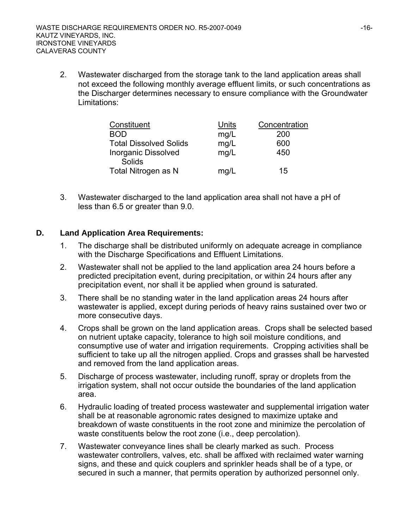2. Wastewater discharged from the storage tank to the land application areas shall not exceed the following monthly average effluent limits, or such concentrations as the Discharger determines necessary to ensure compliance with the Groundwater Limitations:

| Constituent                          | Units | Concentration |
|--------------------------------------|-------|---------------|
| <b>BOD</b>                           | mg/L  | 200           |
| <b>Total Dissolved Solids</b>        | mg/L  | 600           |
| <b>Inorganic Dissolved</b><br>Solids | mg/L  | 450           |
| Total Nitrogen as N                  | mg/L  | 15            |

3. Wastewater discharged to the land application area shall not have a pH of less than 6.5 or greater than 9.0.

#### **D. Land Application Area Requirements:**

- 1. The discharge shall be distributed uniformly on adequate acreage in compliance with the Discharge Specifications and Effluent Limitations.
- 2. Wastewater shall not be applied to the land application area 24 hours before a predicted precipitation event, during precipitation, or within 24 hours after any precipitation event, nor shall it be applied when ground is saturated.
- 3. There shall be no standing water in the land application areas 24 hours after wastewater is applied, except during periods of heavy rains sustained over two or more consecutive days.
- 4. Crops shall be grown on the land application areas. Crops shall be selected based on nutrient uptake capacity, tolerance to high soil moisture conditions, and consumptive use of water and irrigation requirements. Cropping activities shall be sufficient to take up all the nitrogen applied. Crops and grasses shall be harvested and removed from the land application areas.
- 5. Discharge of process wastewater, including runoff, spray or droplets from the irrigation system, shall not occur outside the boundaries of the land application area.
- 6. Hydraulic loading of treated process wastewater and supplemental irrigation water shall be at reasonable agronomic rates designed to maximize uptake and breakdown of waste constituents in the root zone and minimize the percolation of waste constituents below the root zone (i.e., deep percolation).
- 7. Wastewater conveyance lines shall be clearly marked as such. Process wastewater controllers, valves, etc. shall be affixed with reclaimed water warning signs, and these and quick couplers and sprinkler heads shall be of a type, or secured in such a manner, that permits operation by authorized personnel only.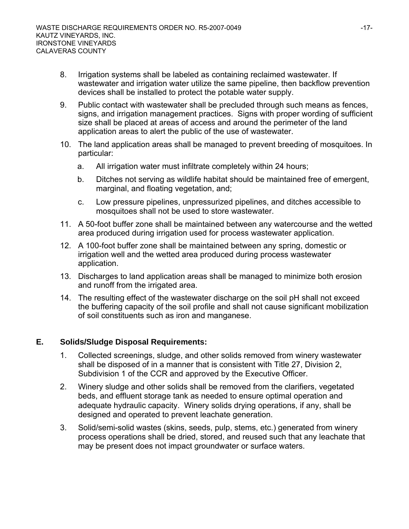- 8. Irrigation systems shall be labeled as containing reclaimed wastewater. If wastewater and irrigation water utilize the same pipeline, then backflow prevention devices shall be installed to protect the potable water supply.
- 9. Public contact with wastewater shall be precluded through such means as fences, signs, and irrigation management practices. Signs with proper wording of sufficient size shall be placed at areas of access and around the perimeter of the land application areas to alert the public of the use of wastewater.
- 10. The land application areas shall be managed to prevent breeding of mosquitoes. In particular:
	- a. All irrigation water must infiltrate completely within 24 hours;
	- b. Ditches not serving as wildlife habitat should be maintained free of emergent, marginal, and floating vegetation, and;
	- c. Low pressure pipelines, unpressurized pipelines, and ditches accessible to mosquitoes shall not be used to store wastewater.
- 11. A 50-foot buffer zone shall be maintained between any watercourse and the wetted area produced during irrigation used for process wastewater application.
- 12. A 100-foot buffer zone shall be maintained between any spring, domestic or irrigation well and the wetted area produced during process wastewater application.
- 13. Discharges to land application areas shall be managed to minimize both erosion and runoff from the irrigated area.
- 14. The resulting effect of the wastewater discharge on the soil pH shall not exceed the buffering capacity of the soil profile and shall not cause significant mobilization of soil constituents such as iron and manganese.

#### **E. Solids/Sludge Disposal Requirements:**

- 1. Collected screenings, sludge, and other solids removed from winery wastewater shall be disposed of in a manner that is consistent with Title 27, Division 2, Subdivision 1 of the CCR and approved by the Executive Officer.
- 2. Winery sludge and other solids shall be removed from the clarifiers, vegetated beds, and effluent storage tank as needed to ensure optimal operation and adequate hydraulic capacity. Winery solids drying operations, if any, shall be designed and operated to prevent leachate generation.
- 3. Solid/semi-solid wastes (skins, seeds, pulp, stems, etc.) generated from winery process operations shall be dried, stored, and reused such that any leachate that may be present does not impact groundwater or surface waters.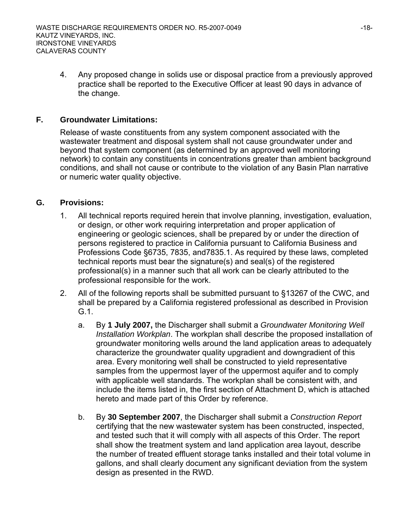4. Any proposed change in solids use or disposal practice from a previously approved practice shall be reported to the Executive Officer at least 90 days in advance of the change.

#### **F. Groundwater Limitations:**

 Release of waste constituents from any system component associated with the wastewater treatment and disposal system shall not cause groundwater under and beyond that system component (as determined by an approved well monitoring network) to contain any constituents in concentrations greater than ambient background conditions, and shall not cause or contribute to the violation of any Basin Plan narrative or numeric water quality objective.

#### **G. Provisions:**

- 1. All technical reports required herein that involve planning, investigation, evaluation, or design, or other work requiring interpretation and proper application of engineering or geologic sciences, shall be prepared by or under the direction of persons registered to practice in California pursuant to California Business and Professions Code §6735, 7835, and7835.1. As required by these laws, completed technical reports must bear the signature(s) and seal(s) of the registered professional(s) in a manner such that all work can be clearly attributed to the professional responsible for the work.
- 2. All of the following reports shall be submitted pursuant to §13267 of the CWC, and shall be prepared by a California registered professional as described in Provision G.1.
	- a. By **1 July 2007,** the Discharger shall submit a *Groundwater Monitoring Well Installation Workplan*. The workplan shall describe the proposed installation of groundwater monitoring wells around the land application areas to adequately characterize the groundwater quality upgradient and downgradient of this area. Every monitoring well shall be constructed to yield representative samples from the uppermost layer of the uppermost aquifer and to comply with applicable well standards. The workplan shall be consistent with, and include the items listed in, the first section of Attachment D, which is attached hereto and made part of this Order by reference.
	- b. By **30 September 2007**, the Discharger shall submit a *Construction Report*  certifying that the new wastewater system has been constructed, inspected, and tested such that it will comply with all aspects of this Order. The report shall show the treatment system and land application area layout, describe the number of treated effluent storage tanks installed and their total volume in gallons, and shall clearly document any significant deviation from the system design as presented in the RWD.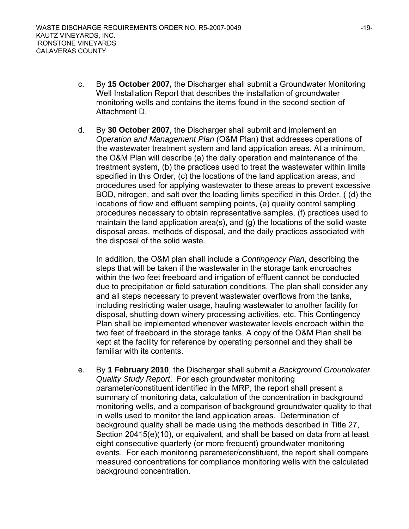- c. By **15 October 2007,** the Discharger shall submit a Groundwater Monitoring Well Installation Report that describes the installation of groundwater monitoring wells and contains the items found in the second section of Attachment D.
- d. By **30 October 2007**, the Discharger shall submit and implement an *Operation and Management Plan* (O&M Plan) that addresses operations of the wastewater treatment system and land application areas. At a minimum, the O&M Plan will describe (a) the daily operation and maintenance of the treatment system, (b) the practices used to treat the wastewater within limits specified in this Order, (c) the locations of the land application areas, and procedures used for applying wastewater to these areas to prevent excessive BOD, nitrogen, and salt over the loading limits specified in this Order, ( (d) the locations of flow and effluent sampling points, (e) quality control sampling procedures necessary to obtain representative samples, (f) practices used to maintain the land application area(s), and (g) the locations of the solid waste disposal areas, methods of disposal, and the daily practices associated with the disposal of the solid waste.

In addition, the O&M plan shall include a *Contingency Plan*, describing the steps that will be taken if the wastewater in the storage tank encroaches within the two feet freeboard and irrigation of effluent cannot be conducted due to precipitation or field saturation conditions. The plan shall consider any and all steps necessary to prevent wastewater overflows from the tanks, including restricting water usage, hauling wastewater to another facility for disposal, shutting down winery processing activities, etc. This Contingency Plan shall be implemented whenever wastewater levels encroach within the two feet of freeboard in the storage tanks. A copy of the O&M Plan shall be kept at the facility for reference by operating personnel and they shall be familiar with its contents.

e. By **1 February 2010**, the Discharger shall submit a *Background Groundwater Quality Study Report*. For each groundwater monitoring parameter/constituent identified in the MRP, the report shall present a summary of monitoring data, calculation of the concentration in background monitoring wells, and a comparison of background groundwater quality to that in wells used to monitor the land application areas. Determination of background quality shall be made using the methods described in Title 27, Section 20415(e)(10), or equivalent, and shall be based on data from at least eight consecutive quarterly (or more frequent) groundwater monitoring events. For each monitoring parameter/constituent, the report shall compare measured concentrations for compliance monitoring wells with the calculated background concentration.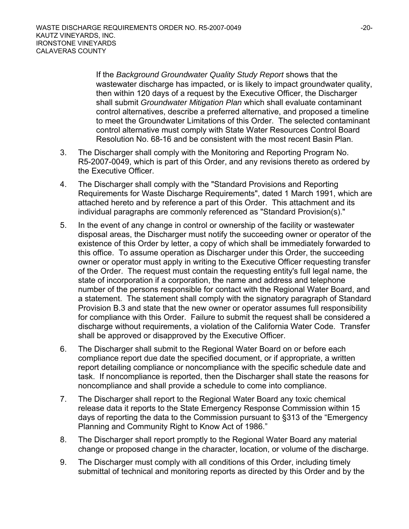If the *Background Groundwater Quality Study Report* shows that the wastewater discharge has impacted, or is likely to impact groundwater quality, then within 120 days of a request by the Executive Officer, the Discharger shall submit *Groundwater Mitigation Plan* which shall evaluate contaminant control alternatives, describe a preferred alternative, and proposed a timeline to meet the Groundwater Limitations of this Order. The selected contaminant control alternative must comply with State Water Resources Control Board Resolution No. 68-16 and be consistent with the most recent Basin Plan.

- 3. The Discharger shall comply with the Monitoring and Reporting Program No. R5-2007-0049, which is part of this Order, and any revisions thereto as ordered by the Executive Officer.
- 4. The Discharger shall comply with the "Standard Provisions and Reporting Requirements for Waste Discharge Requirements", dated 1 March 1991, which are attached hereto and by reference a part of this Order. This attachment and its individual paragraphs are commonly referenced as "Standard Provision(s)."
- 5. In the event of any change in control or ownership of the facility or wastewater disposal areas, the Discharger must notify the succeeding owner or operator of the existence of this Order by letter, a copy of which shall be immediately forwarded to this office. To assume operation as Discharger under this Order, the succeeding owner or operator must apply in writing to the Executive Officer requesting transfer of the Order. The request must contain the requesting entity's full legal name, the state of incorporation if a corporation, the name and address and telephone number of the persons responsible for contact with the Regional Water Board, and a statement. The statement shall comply with the signatory paragraph of Standard Provision B.3 and state that the new owner or operator assumes full responsibility for compliance with this Order. Failure to submit the request shall be considered a discharge without requirements, a violation of the California Water Code. Transfer shall be approved or disapproved by the Executive Officer.
- 6. The Discharger shall submit to the Regional Water Board on or before each compliance report due date the specified document, or if appropriate, a written report detailing compliance or noncompliance with the specific schedule date and task. If noncompliance is reported, then the Discharger shall state the reasons for noncompliance and shall provide a schedule to come into compliance.
- 7. The Discharger shall report to the Regional Water Board any toxic chemical release data it reports to the State Emergency Response Commission within 15 days of reporting the data to the Commission pursuant to §313 of the "Emergency Planning and Community Right to Know Act of 1986."
- 8. The Discharger shall report promptly to the Regional Water Board any material change or proposed change in the character, location, or volume of the discharge.
- 9. The Discharger must comply with all conditions of this Order, including timely submittal of technical and monitoring reports as directed by this Order and by the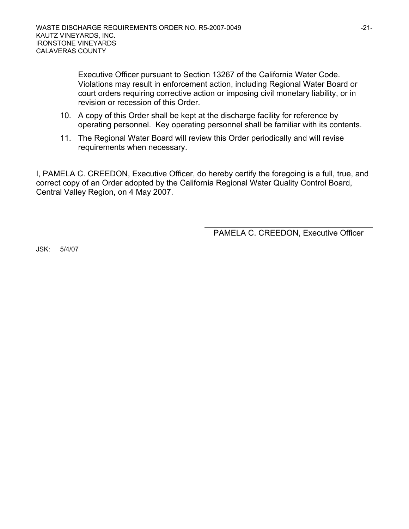Executive Officer pursuant to Section 13267 of the California Water Code. Violations may result in enforcement action, including Regional Water Board or court orders requiring corrective action or imposing civil monetary liability, or in revision or recession of this Order.

- 10. A copy of this Order shall be kept at the discharge facility for reference by operating personnel. Key operating personnel shall be familiar with its contents.
- 11. The Regional Water Board will review this Order periodically and will revise requirements when necessary.

I, PAMELA C. CREEDON, Executive Officer, do hereby certify the foregoing is a full, true, and correct copy of an Order adopted by the California Regional Water Quality Control Board, Central Valley Region, on 4 May 2007.

PAMELA C. CREEDON, Executive Officer

JSK: 5/4/07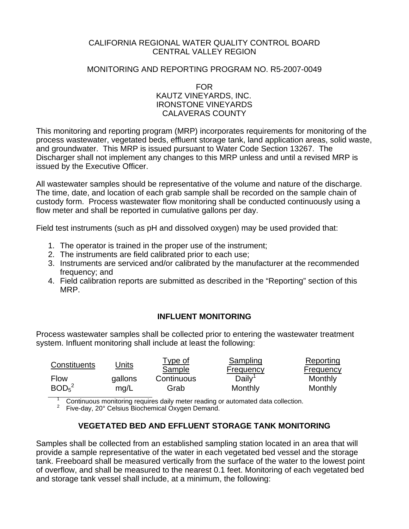#### CALIFORNIA REGIONAL WATER QUALITY CONTROL BOARD CENTRAL VALLEY REGION

#### MONITORING AND REPORTING PROGRAM NO. R5-2007-0049

FOR

#### KAUTZ VINEYARDS, INC. IRONSTONE VINEYARDS CALAVERAS COUNTY

This monitoring and reporting program (MRP) incorporates requirements for monitoring of the process wastewater, vegetated beds, effluent storage tank, land application areas, solid waste, and groundwater. This MRP is issued pursuant to Water Code Section 13267. The Discharger shall not implement any changes to this MRP unless and until a revised MRP is issued by the Executive Officer.

All wastewater samples should be representative of the volume and nature of the discharge. The time, date, and location of each grab sample shall be recorded on the sample chain of custody form. Process wastewater flow monitoring shall be conducted continuously using a flow meter and shall be reported in cumulative gallons per day.

Field test instruments (such as pH and dissolved oxygen) may be used provided that:

- 1. The operator is trained in the proper use of the instrument;
- 2. The instruments are field calibrated prior to each use;
- 3. Instruments are serviced and/or calibrated by the manufacturer at the recommended frequency; and
- 4. Field calibration reports are submitted as described in the "Reporting" section of this MRP.

#### **INFLUENT MONITORING**

Process wastewater samples shall be collected prior to entering the wastewater treatment system. Influent monitoring shall include at least the following:

| Constituents                  | Units   | <u>Type of</u><br>Sample | Sampling<br><b>Frequency</b>                                                     | Reporting<br>Frequency |
|-------------------------------|---------|--------------------------|----------------------------------------------------------------------------------|------------------------|
| <b>Flow</b>                   | gallons | Continuous               | Daily <sup>1</sup>                                                               | Monthly                |
| BOD <sub>5</sub> <sup>2</sup> | mq/L    | Grab                     | Monthly                                                                          | Monthly                |
|                               |         |                          | Continuous monitoring requires daily meter reading or automated data collection. |                        |

 $2^2$  Five-day, 20° Celsius Biochemical Oxygen Demand.

# **VEGETATED BED AND EFFLUENT STORAGE TANK MONITORING**

Samples shall be collected from an established sampling station located in an area that will provide a sample representative of the water in each vegetated bed vessel and the storage tank. Freeboard shall be measured vertically from the surface of the water to the lowest point of overflow, and shall be measured to the nearest 0.1 feet. Monitoring of each vegetated bed and storage tank vessel shall include, at a minimum, the following: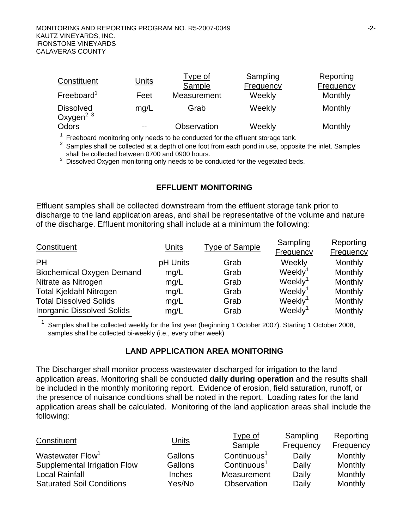| Constituent                                | <u>Units</u> | <b>Type of</b><br>Sample | Sampling<br>Frequency | Reporting<br><b>Frequency</b> |
|--------------------------------------------|--------------|--------------------------|-----------------------|-------------------------------|
| Freeboard <sup>1</sup>                     | Feet         | Measurement              | Weekly                | Monthly                       |
| <b>Dissolved</b><br>Oxygen <sup>2, 3</sup> | mq/L         | Grab                     | Weekly                | Monthly                       |
| Odors                                      | $- -$        | Observation              | Weekly                | Monthly                       |

 $1$  Freeboard monitoring only needs to be conducted for the effluent storage tank.

 $2$  Samples shall be collected at a depth of one foot from each pond in use, opposite the inlet. Samples shall be collected between 0700 and 0900 hours.

 $3$  Dissolved Oxygen monitoring only needs to be conducted for the vegetated beds.

#### **EFFLUENT MONITORING**

Effluent samples shall be collected downstream from the effluent storage tank prior to discharge to the land application areas, and shall be representative of the volume and nature of the discharge. Effluent monitoring shall include at a minimum the following:

| Constituent                       | Units    | <b>Type of Sample</b> | Sampling<br><b>Frequency</b> | Reporting<br><b>Frequency</b> |
|-----------------------------------|----------|-----------------------|------------------------------|-------------------------------|
| <b>PH</b>                         | pH Units | Grab                  | Weekly                       | <b>Monthly</b>                |
| <b>Biochemical Oxygen Demand</b>  | mg/L     | Grab                  | Weekly <sup>1</sup>          | <b>Monthly</b>                |
| Nitrate as Nitrogen               | mg/L     | Grab                  | Weekly <sup>1</sup>          | Monthly                       |
| <b>Total Kjeldahl Nitrogen</b>    | mg/L     | Grab                  | Weekly <sup>1</sup>          | Monthly                       |
| <b>Total Dissolved Solids</b>     | mg/L     | Grab                  | Weekly <sup>1</sup>          | Monthly                       |
| <b>Inorganic Dissolved Solids</b> | mg/L     | Grab                  | Weekly <sup>1</sup>          | Monthly                       |

1 Samples shall be collected weekly for the first year (beginning 1 October 2007). Starting 1 October 2008, samples shall be collected bi-weekly (i.e., every other week)

#### **LAND APPLICATION AREA MONITORING**

The Discharger shall monitor process wastewater discharged for irrigation to the land application areas. Monitoring shall be conducted **daily during operation** and the results shall be included in the monthly monitoring report. Evidence of erosion, field saturation, runoff, or the presence of nuisance conditions shall be noted in the report. Loading rates for the land application areas shall be calculated. Monitoring of the land application areas shall include the following:

| Constituent                      | <u>Units</u> | Type of<br>Sample       | Sampling<br>Frequency | Reporting<br><b>Frequency</b> |
|----------------------------------|--------------|-------------------------|-----------------------|-------------------------------|
| Wastewater Flow <sup>1</sup>     | Gallons      | $\text{Continuous}^1$   | Daily                 | Monthly                       |
| Supplemental Irrigation Flow     | Gallons      | Continuous <sup>1</sup> | Daily                 | Monthly                       |
| <b>Local Rainfall</b>            | Inches       | Measurement             | Daily                 | Monthly                       |
| <b>Saturated Soil Conditions</b> | Yes/No       | Observation             | Daily                 | Monthly                       |

Sampling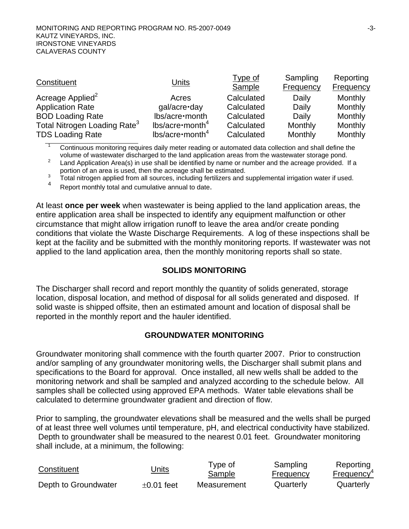| Constituent                              | <b>Units</b>             | Type of<br>Sample | Sampling<br><b>Frequency</b> | Reporting<br><b>Frequency</b> |
|------------------------------------------|--------------------------|-------------------|------------------------------|-------------------------------|
| Acreage Applied <sup>2</sup>             | Acres                    | Calculated        | Daily                        | Monthly                       |
| <b>Application Rate</b>                  | gal/acre·day             | Calculated        | Daily                        | Monthly                       |
| <b>BOD Loading Rate</b>                  | lbs/acre·month           | Calculated        | Daily                        | Monthly                       |
| Total Nitrogen Loading Rate <sup>3</sup> | $lbs/acre \cdot month^4$ | Calculated        | Monthly                      | Monthly                       |
| <b>TDS Loading Rate</b>                  | $lbs/acre \cdot month^4$ | Calculated        | Monthly                      | Monthly                       |

1 Continuous monitoring requires daily meter reading or automated data collection and shall define the volume of wastewater discharged to the land application areas from the wastewater storage pond.

2 Land Application Area(s) in use shall be identified by name or number and the acreage provided. If a portion of an area is used, then the acreage shall be estimated.

3  $\frac{3}{1}$  Total nitrogen applied from all sources, including fertilizers and supplemental irrigation water if used.

Report monthly total and cumulative annual to date.

At least **once per week** when wastewater is being applied to the land application areas, the entire application area shall be inspected to identify any equipment malfunction or other circumstance that might allow irrigation runoff to leave the area and/or create ponding conditions that violate the Waste Discharge Requirements. A log of these inspections shall be kept at the facility and be submitted with the monthly monitoring reports. If wastewater was not applied to the land application area, then the monthly monitoring reports shall so state.

#### **SOLIDS MONITORING**

The Discharger shall record and report monthly the quantity of solids generated, storage location, disposal location, and method of disposal for all solids generated and disposed. If solid waste is shipped offsite, then an estimated amount and location of disposal shall be reported in the monthly report and the hauler identified.

#### **GROUNDWATER MONITORING**

Groundwater monitoring shall commence with the fourth quarter 2007. Prior to construction and/or sampling of any groundwater monitoring wells, the Discharger shall submit plans and specifications to the Board for approval. Once installed, all new wells shall be added to the monitoring network and shall be sampled and analyzed according to the schedule below. All samples shall be collected using approved EPA methods. Water table elevations shall be calculated to determine groundwater gradient and direction of flow.

Prior to sampling, the groundwater elevations shall be measured and the wells shall be purged of at least three well volumes until temperature, pH, and electrical conductivity have stabilized. Depth to groundwater shall be measured to the nearest 0.01 feet. Groundwater monitoring shall include, at a minimum, the following:

| Constituent          | Jnits           | Type of<br>Sample | Sampling<br><b>Frequency</b> | Reporting<br>Frequency <sup>4</sup> |
|----------------------|-----------------|-------------------|------------------------------|-------------------------------------|
| Depth to Groundwater | $\pm 0.01$ feet | Measurement       | Quarterly                    | Quarterly                           |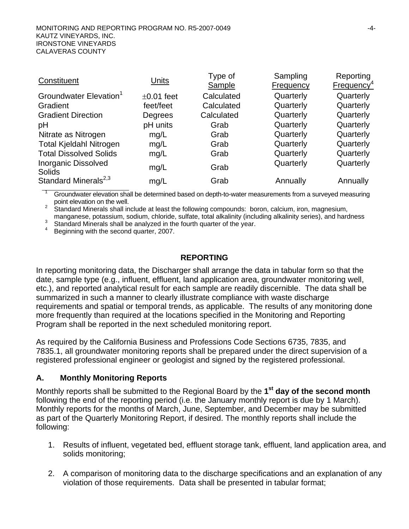| Constituent                                 | Units           | Type of    | Sampling  | Reporting              |
|---------------------------------------------|-----------------|------------|-----------|------------------------|
|                                             |                 | Sample     | Frequency | Frequency <sup>4</sup> |
| Groundwater Elevation <sup>1</sup>          | $\pm 0.01$ feet | Calculated | Quarterly | Quarterly              |
| Gradient                                    | feet/feet       | Calculated | Quarterly | Quarterly              |
| <b>Gradient Direction</b>                   | Degrees         | Calculated | Quarterly | Quarterly              |
| рH                                          | pH units        | Grab       | Quarterly | Quarterly              |
| Nitrate as Nitrogen                         | mg/L            | Grab       | Quarterly | Quarterly              |
| <b>Total Kjeldahl Nitrogen</b>              | mg/L            | Grab       | Quarterly | Quarterly              |
| <b>Total Dissolved Solids</b>               | mg/L            | Grab       | Quarterly | Quarterly              |
| <b>Inorganic Dissolved</b><br><b>Solids</b> | mg/L            | Grab       | Quarterly | Quarterly              |
| Standard Minerals <sup>2,3</sup>            | mg/L            | Grab       | Annually  | Annually               |

1 Groundwater elevation shall be determined based on depth-to-water measurements from a surveyed measuring

point elevation on the well.<br><sup>2</sup> Standard Minerals shall include at least the following compounds: boron, calcium, iron, magnesium, manganese, potassium, sodium, chloride, sulfate, total alkalinity (including alkalinity series), and hardness <sup>3</sup>

Standard Minerals shall be analyzed in the fourth quarter of the year.

4 Beginning with the second quarter, 2007.

#### **REPORTING**

In reporting monitoring data, the Discharger shall arrange the data in tabular form so that the date, sample type (e.g., influent, effluent, land application area, groundwater monitoring well, etc.), and reported analytical result for each sample are readily discernible. The data shall be summarized in such a manner to clearly illustrate compliance with waste discharge requirements and spatial or temporal trends, as applicable. The results of any monitoring done more frequently than required at the locations specified in the Monitoring and Reporting Program shall be reported in the next scheduled monitoring report.

As required by the California Business and Professions Code Sections 6735, 7835, and 7835.1, all groundwater monitoring reports shall be prepared under the direct supervision of a registered professional engineer or geologist and signed by the registered professional.

#### **A. Monthly Monitoring Reports**

Monthly reports shall be submitted to the Regional Board by the **1st day of the second month** following the end of the reporting period (i.e. the January monthly report is due by 1 March). Monthly reports for the months of March, June, September, and December may be submitted as part of the Quarterly Monitoring Report, if desired. The monthly reports shall include the following:

- 1. Results of influent, vegetated bed, effluent storage tank, effluent, land application area, and solids monitoring;
- 2. A comparison of monitoring data to the discharge specifications and an explanation of any violation of those requirements. Data shall be presented in tabular format;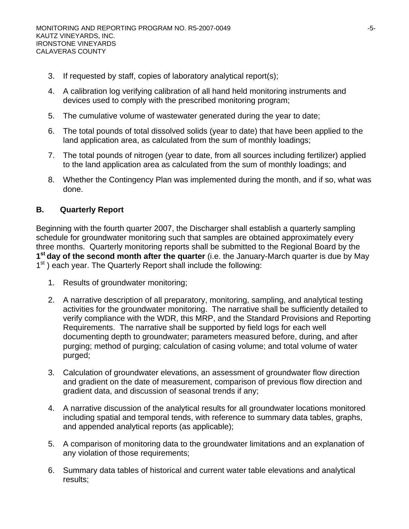- 3. If requested by staff, copies of laboratory analytical report(s);
- 4. A calibration log verifying calibration of all hand held monitoring instruments and devices used to comply with the prescribed monitoring program;
- 5. The cumulative volume of wastewater generated during the year to date;
- 6. The total pounds of total dissolved solids (year to date) that have been applied to the land application area, as calculated from the sum of monthly loadings;
- 7. The total pounds of nitrogen (year to date, from all sources including fertilizer) applied to the land application area as calculated from the sum of monthly loadings; and
- 8. Whether the Contingency Plan was implemented during the month, and if so, what was done.

# **B. Quarterly Report**

Beginning with the fourth quarter 2007, the Discharger shall establish a quarterly sampling schedule for groundwater monitoring such that samples are obtained approximately every three months. Quarterly monitoring reports shall be submitted to the Regional Board by the **1st day of the second month after the quarter** (i.e. the January-March quarter is due by May  $1<sup>st</sup>$ ) each year. The Quarterly Report shall include the following:

- 1. Results of groundwater monitoring;
- 2. A narrative description of all preparatory, monitoring, sampling, and analytical testing activities for the groundwater monitoring. The narrative shall be sufficiently detailed to verify compliance with the WDR, this MRP, and the Standard Provisions and Reporting Requirements. The narrative shall be supported by field logs for each well documenting depth to groundwater; parameters measured before, during, and after purging; method of purging; calculation of casing volume; and total volume of water purged;
- 3. Calculation of groundwater elevations, an assessment of groundwater flow direction and gradient on the date of measurement, comparison of previous flow direction and gradient data, and discussion of seasonal trends if any;
- 4. A narrative discussion of the analytical results for all groundwater locations monitored including spatial and temporal tends, with reference to summary data tables, graphs, and appended analytical reports (as applicable);
- 5. A comparison of monitoring data to the groundwater limitations and an explanation of any violation of those requirements;
- 6. Summary data tables of historical and current water table elevations and analytical results;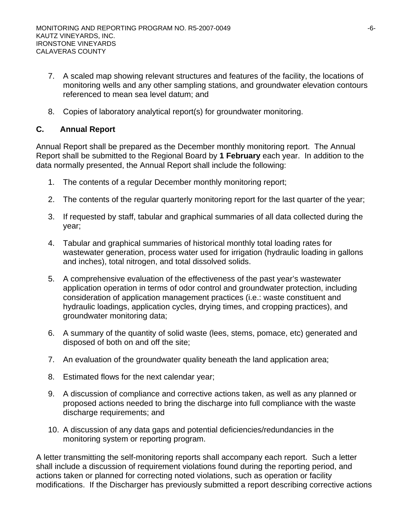- 7. A scaled map showing relevant structures and features of the facility, the locations of monitoring wells and any other sampling stations, and groundwater elevation contours referenced to mean sea level datum; and
- 8. Copies of laboratory analytical report(s) for groundwater monitoring.

# **C. Annual Report**

Annual Report shall be prepared as the December monthly monitoring report. The Annual Report shall be submitted to the Regional Board by **1 February** each year. In addition to the data normally presented, the Annual Report shall include the following:

- 1. The contents of a regular December monthly monitoring report;
- 2. The contents of the regular quarterly monitoring report for the last quarter of the year;
- 3. If requested by staff, tabular and graphical summaries of all data collected during the year;
- 4. Tabular and graphical summaries of historical monthly total loading rates for wastewater generation, process water used for irrigation (hydraulic loading in gallons and inches), total nitrogen, and total dissolved solids.
- 5. A comprehensive evaluation of the effectiveness of the past year's wastewater application operation in terms of odor control and groundwater protection, including consideration of application management practices (i.e.: waste constituent and hydraulic loadings, application cycles, drying times, and cropping practices), and groundwater monitoring data;
- 6. A summary of the quantity of solid waste (lees, stems, pomace, etc) generated and disposed of both on and off the site;
- 7. An evaluation of the groundwater quality beneath the land application area;
- 8. Estimated flows for the next calendar year;
- 9. A discussion of compliance and corrective actions taken, as well as any planned or proposed actions needed to bring the discharge into full compliance with the waste discharge requirements; and
- 10. A discussion of any data gaps and potential deficiencies/redundancies in the monitoring system or reporting program.

A letter transmitting the self-monitoring reports shall accompany each report. Such a letter shall include a discussion of requirement violations found during the reporting period, and actions taken or planned for correcting noted violations, such as operation or facility modifications. If the Discharger has previously submitted a report describing corrective actions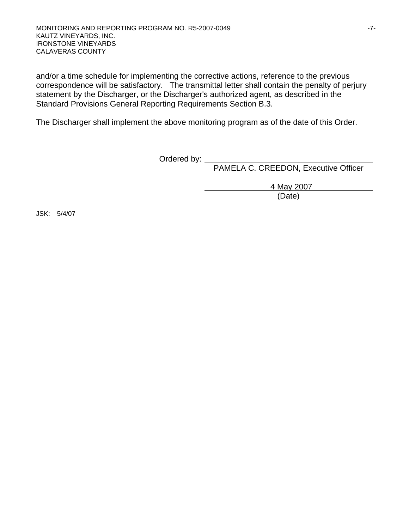and/or a time schedule for implementing the corrective actions, reference to the previous correspondence will be satisfactory. The transmittal letter shall contain the penalty of perjury statement by the Discharger, or the Discharger's authorized agent, as described in the Standard Provisions General Reporting Requirements Section B.3.

The Discharger shall implement the above monitoring program as of the date of this Order.

**Canadian Contract Contract Contract Contract Contract Contract Contract Contract Contract Contract Contract Contract Contract Contract Contract Contract Contract Contract Contract Contract Contract Contract Contract Contr** 

PAMELA C. CREEDON, Executive Officer

4 May 2007

(Date)

JSK: 5/4/07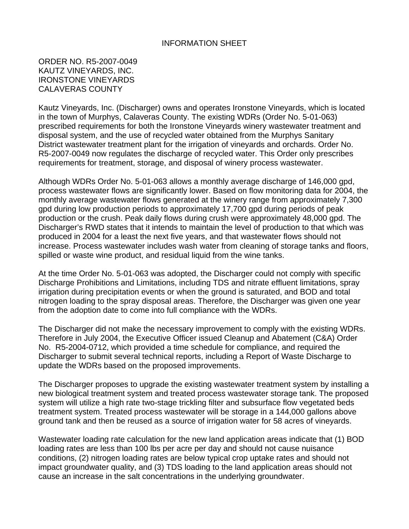#### INFORMATION SHEET

#### ORDER NO. R5-2007-0049 KAUTZ VINEYARDS, INC. IRONSTONE VINEYARDS CALAVERAS COUNTY

Kautz Vineyards, Inc. (Discharger) owns and operates Ironstone Vineyards, which is located in the town of Murphys, Calaveras County. The existing WDRs (Order No. 5-01-063) prescribed requirements for both the Ironstone Vineyards winery wastewater treatment and disposal system, and the use of recycled water obtained from the Murphys Sanitary District wastewater treatment plant for the irrigation of vineyards and orchards. Order No. R5-2007-0049 now regulates the discharge of recycled water. This Order only prescribes requirements for treatment, storage, and disposal of winery process wastewater.

Although WDRs Order No. 5-01-063 allows a monthly average discharge of 146,000 gpd, process wastewater flows are significantly lower. Based on flow monitoring data for 2004, the monthly average wastewater flows generated at the winery range from approximately 7,300 gpd during low production periods to approximately 17,700 gpd during periods of peak production or the crush. Peak daily flows during crush were approximately 48,000 gpd. The Discharger's RWD states that it intends to maintain the level of production to that which was produced in 2004 for a least the next five years, and that wastewater flows should not increase. Process wastewater includes wash water from cleaning of storage tanks and floors, spilled or waste wine product, and residual liquid from the wine tanks.

At the time Order No. 5-01-063 was adopted, the Discharger could not comply with specific Discharge Prohibitions and Limitations, including TDS and nitrate effluent limitations, spray irrigation during precipitation events or when the ground is saturated, and BOD and total nitrogen loading to the spray disposal areas. Therefore, the Discharger was given one year from the adoption date to come into full compliance with the WDRs.

The Discharger did not make the necessary improvement to comply with the existing WDRs. Therefore in July 2004, the Executive Officer issued Cleanup and Abatement (C&A) Order No. R5-2004-0712, which provided a time schedule for compliance, and required the Discharger to submit several technical reports, including a Report of Waste Discharge to update the WDRs based on the proposed improvements.

The Discharger proposes to upgrade the existing wastewater treatment system by installing a new biological treatment system and treated process wastewater storage tank. The proposed system will utilize a high rate two-stage trickling filter and subsurface flow vegetated beds treatment system. Treated process wastewater will be storage in a 144,000 gallons above ground tank and then be reused as a source of irrigation water for 58 acres of vineyards.

Wastewater loading rate calculation for the new land application areas indicate that (1) BOD loading rates are less than 100 lbs per acre per day and should not cause nuisance conditions, (2) nitrogen loading rates are below typical crop uptake rates and should not impact groundwater quality, and (3) TDS loading to the land application areas should not cause an increase in the salt concentrations in the underlying groundwater.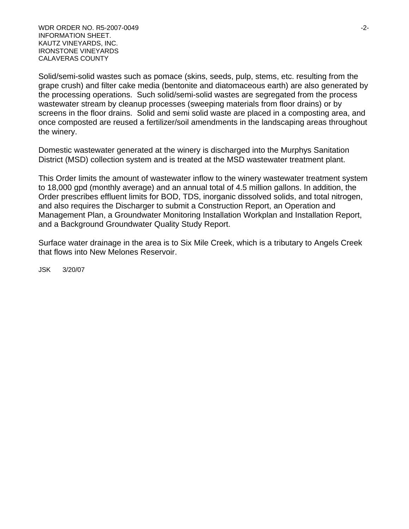WDR ORDER NO. R5-2007-0049 -2-INFORMATION SHEET. KAUTZ VINEYARDS, INC. IRONSTONE VINEYARDS CALAVERAS COUNTY

Solid/semi-solid wastes such as pomace (skins, seeds, pulp, stems, etc. resulting from the grape crush) and filter cake media (bentonite and diatomaceous earth) are also generated by the processing operations. Such solid/semi-solid wastes are segregated from the process wastewater stream by cleanup processes (sweeping materials from floor drains) or by screens in the floor drains. Solid and semi solid waste are placed in a composting area, and once composted are reused a fertilizer/soil amendments in the landscaping areas throughout the winery.

Domestic wastewater generated at the winery is discharged into the Murphys Sanitation District (MSD) collection system and is treated at the MSD wastewater treatment plant.

This Order limits the amount of wastewater inflow to the winery wastewater treatment system to 18,000 gpd (monthly average) and an annual total of 4.5 million gallons. In addition, the Order prescribes effluent limits for BOD, TDS, inorganic dissolved solids, and total nitrogen, and also requires the Discharger to submit a Construction Report, an Operation and Management Plan, a Groundwater Monitoring Installation Workplan and Installation Report, and a Background Groundwater Quality Study Report.

Surface water drainage in the area is to Six Mile Creek, which is a tributary to Angels Creek that flows into New Melones Reservoir.

JSK 3/20/07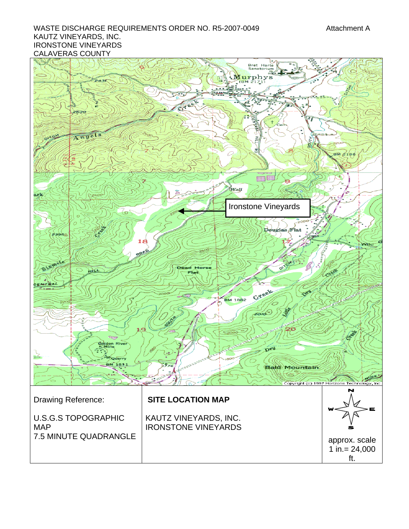#### WASTE DISCHARGE REQUIREMENTS ORDER NO. R5-2007-0049 Attachment A KAUTZ VINEYARDS, INC. IRONSTONE VINEYARDS CALAVERAS COUNTY

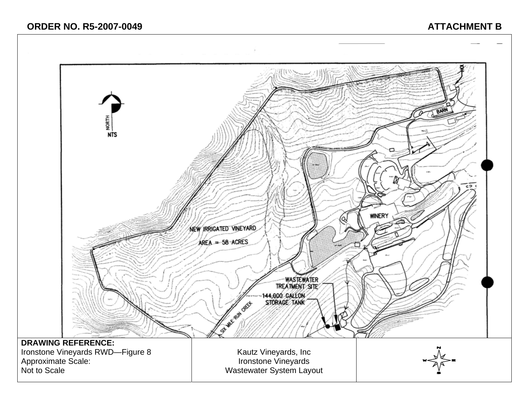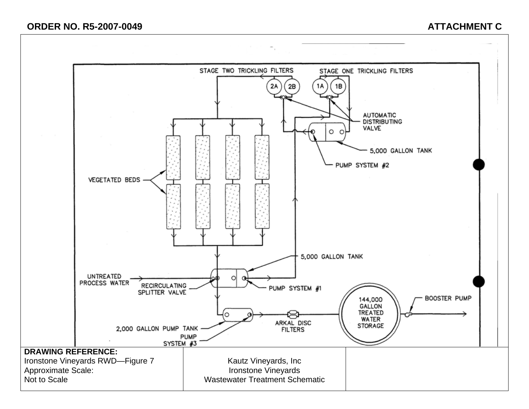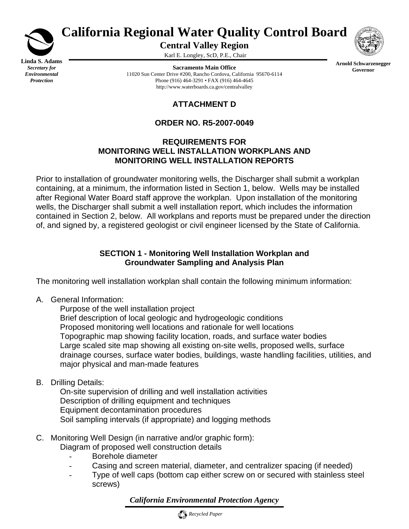

*Protection*

# **California Regional Water Quality Control Board**

**Central Valley Region** 

Karl E. Longley, ScD, P.E., Chair

**Sacramento Main Office** 11020 Sun Center Drive #200, Rancho Cordova, California 95670-6114 Phone (916) 464-3291 • FAX (916) 464-4645 http://www.waterboards.ca.gov/centralvalley



**Arnold Schwarzenegger Governor**

# **ATTACHMENT D**

# **ORDER NO. R5-2007-0049**

#### **REQUIREMENTS FOR MONITORING WELL INSTALLATION WORKPLANS AND MONITORING WELL INSTALLATION REPORTS**

Prior to installation of groundwater monitoring wells, the Discharger shall submit a workplan containing, at a minimum, the information listed in Section 1, below. Wells may be installed after Regional Water Board staff approve the workplan. Upon installation of the monitoring wells, the Discharger shall submit a well installation report, which includes the information contained in Section 2, below. All workplans and reports must be prepared under the direction of, and signed by, a registered geologist or civil engineer licensed by the State of California.

# **SECTION 1 - Monitoring Well Installation Workplan and Groundwater Sampling and Analysis Plan**

The monitoring well installation workplan shall contain the following minimum information:

A. General Information:

 Purpose of the well installation project Brief description of local geologic and hydrogeologic conditions Proposed monitoring well locations and rationale for well locations Topographic map showing facility location, roads, and surface water bodies Large scaled site map showing all existing on-site wells, proposed wells, surface drainage courses, surface water bodies, buildings, waste handling facilities, utilities, and major physical and man-made features

B. Drilling Details:

 On-site supervision of drilling and well installation activities Description of drilling equipment and techniques Equipment decontamination procedures Soil sampling intervals (if appropriate) and logging methods

- C. Monitoring Well Design (in narrative and/or graphic form): Diagram of proposed well construction details
	- Borehole diameter
	- Casing and screen material, diameter, and centralizer spacing (if needed)
	- Type of well caps (bottom cap either screw on or secured with stainless steel screws)

*California Environmental Protection Agency*

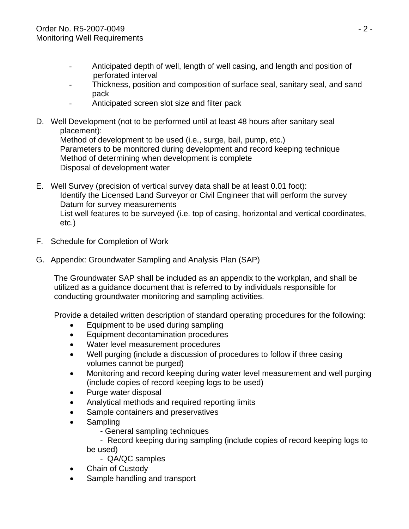- Anticipated depth of well, length of well casing, and length and position of perforated interval
- Thickness, position and composition of surface seal, sanitary seal, and sand pack
- Anticipated screen slot size and filter pack
- D. Well Development (not to be performed until at least 48 hours after sanitary seal placement):

 Method of development to be used (i.e., surge, bail, pump, etc.) Parameters to be monitored during development and record keeping technique Method of determining when development is complete Disposal of development water

- E. Well Survey (precision of vertical survey data shall be at least 0.01 foot): Identify the Licensed Land Surveyor or Civil Engineer that will perform the survey Datum for survey measurements List well features to be surveyed (i.e. top of casing, horizontal and vertical coordinates, etc.)
- F. Schedule for Completion of Work
- G. Appendix: Groundwater Sampling and Analysis Plan (SAP)

 The Groundwater SAP shall be included as an appendix to the workplan, and shall be utilized as a guidance document that is referred to by individuals responsible for conducting groundwater monitoring and sampling activities.

Provide a detailed written description of standard operating procedures for the following:

- Equipment to be used during sampling
- Equipment decontamination procedures
- Water level measurement procedures
- Well purging (include a discussion of procedures to follow if three casing volumes cannot be purged)
- Monitoring and record keeping during water level measurement and well purging (include copies of record keeping logs to be used)
- Purge water disposal
- Analytical methods and required reporting limits
- Sample containers and preservatives
- Sampling
	- General sampling techniques
	- Record keeping during sampling (include copies of record keeping logs to be used)
		- QA/QC samples
- Chain of Custody
- Sample handling and transport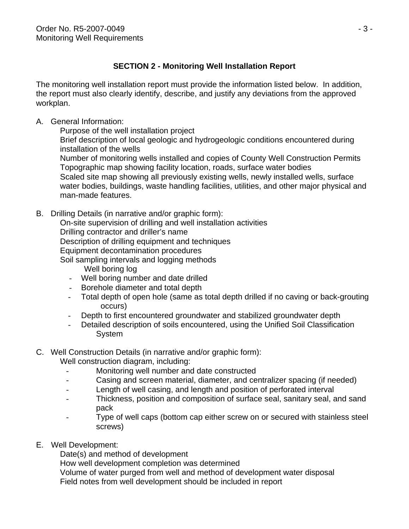# **SECTION 2 - Monitoring Well Installation Report**

The monitoring well installation report must provide the information listed below. In addition, the report must also clearly identify, describe, and justify any deviations from the approved workplan.

# A. General Information:

Purpose of the well installation project

 Brief description of local geologic and hydrogeologic conditions encountered during installation of the wells

 Number of monitoring wells installed and copies of County Well Construction Permits Topographic map showing facility location, roads, surface water bodies Scaled site map showing all previously existing wells, newly installed wells, surface water bodies, buildings, waste handling facilities, utilities, and other major physical and man-made features.

B. Drilling Details (in narrative and/or graphic form):

On-site supervision of drilling and well installation activities

Drilling contractor and driller's name

Description of drilling equipment and techniques

Equipment decontamination procedures

- Soil sampling intervals and logging methods Well boring log
	- Well boring number and date drilled
	- Borehole diameter and total depth
	- Total depth of open hole (same as total depth drilled if no caving or back-grouting occurs)
	- Depth to first encountered groundwater and stabilized groundwater depth
	- Detailed description of soils encountered, using the Unified Soil Classification System

# C. Well Construction Details (in narrative and/or graphic form):

Well construction diagram, including:

- Monitoring well number and date constructed
- Casing and screen material, diameter, and centralizer spacing (if needed)
- Length of well casing, and length and position of perforated interval
- Thickness, position and composition of surface seal, sanitary seal, and sand pack
- Type of well caps (bottom cap either screw on or secured with stainless steel screws)
- E. Well Development:

Date(s) and method of development

How well development completion was determined

 Volume of water purged from well and method of development water disposal Field notes from well development should be included in report